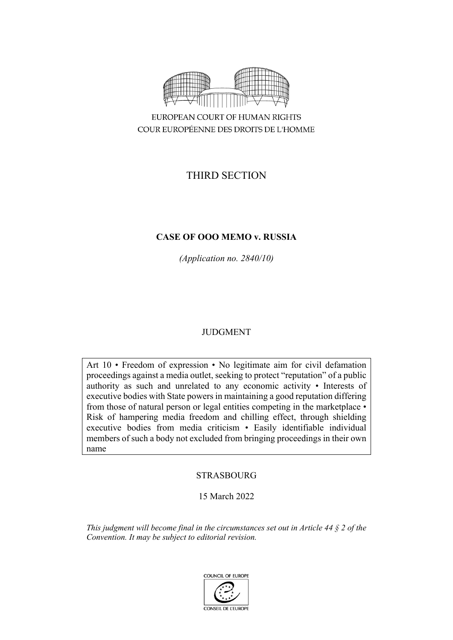

COUR EUROPÉENNE DES DROITS DE L'HOMME

# THIRD SECTION

# **CASE OF OOO MEMO v. RUSSIA**

*(Application no. 2840/10)*

# JUDGMENT

Art 10 • Freedom of expression • No legitimate aim for civil defamation proceedings against a media outlet, seeking to protect "reputation" of a public authority as such and unrelated to any economic activity • Interests of executive bodies with State powers in maintaining a good reputation differing from those of natural person or legal entities competing in the marketplace • Risk of hampering media freedom and chilling effect, through shielding executive bodies from media criticism • Easily identifiable individual members of such a body not excluded from bringing proceedings in their own name

# **STRASBOURG**

# 15 March 2022

*This judgment will become final in the circumstances set out in Article 44 § 2 of the Convention. It may be subject to editorial revision.*

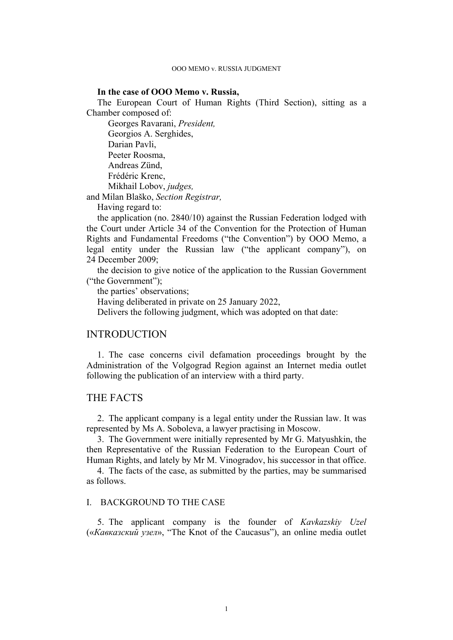#### **In the case of OOO Memo v. Russia,**

The European Court of Human Rights (Third Section), sitting as a Chamber composed of:

Georges Ravarani, *President,* Georgios A. Serghides, Darian Pavli, Peeter Roosma, Andreas Zünd, Frédéric Krenc, Mikhail Lobov, *judges,*

and Milan Blaško, *Section Registrar,*

Having regard to:

the application (no. 2840/10) against the Russian Federation lodged with the Court under Article 34 of the Convention for the Protection of Human Rights and Fundamental Freedoms ("the Convention") by OOO Memo, a legal entity under the Russian law ("the applicant company"), on 24 December 2009;

the decision to give notice of the application to the Russian Government ("the Government");

the parties' observations;

Having deliberated in private on 25 January 2022,

Delivers the following judgment, which was adopted on that date:

## INTRODUCTION

1. The case concerns civil defamation proceedings brought by the Administration of the Volgograd Region against an Internet media outlet following the publication of an interview with a third party.

## THE FACTS

2. The applicant company is a legal entity under the Russian law. It was represented by Ms A. Soboleva, a lawyer practising in Moscow.

3. The Government were initially represented by Mr G. Matyushkin, the then Representative of the Russian Federation to the European Court of Human Rights, and lately by Mr M. Vinogradov, his successor in that office.

4. The facts of the case, as submitted by the parties, may be summarised as follows.

#### I. BACKGROUND TO THE CASE

5. The applicant company is the founder of *Kavkazskiy Uzel* («*Кавказский узел*», "The Knot of the Caucasus"), an online media outlet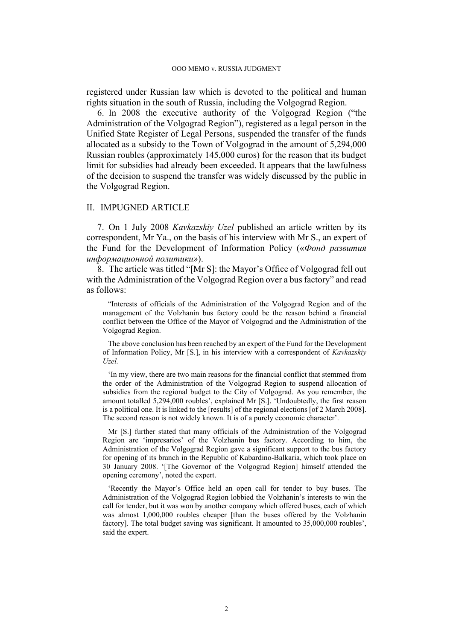registered under Russian law which is devoted to the political and human rights situation in the south of Russia, including the Volgograd Region.

<span id="page-3-0"></span>6. In 2008 the executive authority of the Volgograd Region ("the Administration of the Volgograd Region"), registered as a legal person in the Unified State Register of Legal Persons, suspended the transfer of the funds allocated as a subsidy to the Town of Volgograd in the amount of 5,294,000 Russian roubles (approximately 145,000 euros) for the reason that its budget limit for subsidies had already been exceeded. It appears that the lawfulness of the decision to suspend the transfer was widely discussed by the public in the Volgograd Region.

#### II. IMPUGNED ARTICLE

7. On 1 July 2008 *Kavkazskiy Uzel* published an article written by its correspondent, Mr Ya., on the basis of his interview with Mr S., an expert of the Fund for the Development of Information Policy («*Фонд развития информационной политики»*).

8. The article was titled "[Mr S]: the Mayor's Office of Volgograd fell out with the Administration of the Volgograd Region over a bus factory" and read as follows:

"Interests of officials of the Administration of the Volgograd Region and of the management of the Volzhanin bus factory could be the reason behind a financial conflict between the Office of the Mayor of Volgograd and the Administration of the Volgograd Region.

The above conclusion has been reached by an expert of the Fund for the Development of Information Policy, Mr [S.], in his interview with a correspondent of *Kavkazskiy Uzel.*

'In my view, there are two main reasons for the financial conflict that stemmed from the order of the Administration of the Volgograd Region to suspend allocation of subsidies from the regional budget to the City of Volgograd. As you remember, the amount totalled 5,294,000 roubles', explained Mr [S.]. 'Undoubtedly, the first reason is a political one. It is linked to the [results] of the regional elections [of 2 March 2008]. The second reason is not widely known. It is of a purely economic character'.

Mr [S.] further stated that many officials of the Administration of the Volgograd Region are 'impresarios' of the Volzhanin bus factory. According to him, the Administration of the Volgograd Region gave a significant support to the bus factory for opening of its branch in the Republic of Kabardino-Balkaria, which took place on 30 January 2008. '[The Governor of the Volgograd Region] himself attended the opening ceremony', noted the expert.

'Recently the Mayor's Office held an open call for tender to buy buses. The Administration of the Volgograd Region lobbied the Volzhanin's interests to win the call for tender, but it was won by another company which offered buses, each of which was almost 1,000,000 roubles cheaper [than the buses offered by the Volzhanin factory]. The total budget saving was significant. It amounted to 35,000,000 roubles', said the expert.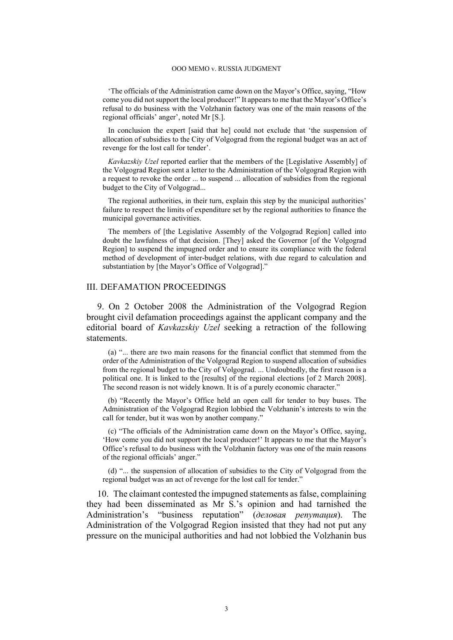'The officials of the Administration came down on the Mayor's Office, saying, "How come you did not support the local producer!" It appears to me that the Mayor's Office's refusal to do business with the Volzhanin factory was one of the main reasons of the regional officials' anger', noted Mr [S.].

In conclusion the expert [said that he] could not exclude that 'the suspension of allocation of subsidies to the City of Volgograd from the regional budget was an act of revenge for the lost call for tender'.

*Kavkazskiy Uzel* reported earlier that the members of the [Legislative Assembly] of the Volgograd Region sent a letter to the Administration of the Volgograd Region with a request to revoke the order ... to suspend ... allocation of subsidies from the regional budget to the City of Volgograd...

The regional authorities, in their turn, explain this step by the municipal authorities' failure to respect the limits of expenditure set by the regional authorities to finance the municipal governance activities.

The members of [the Legislative Assembly of the Volgograd Region] called into doubt the lawfulness of that decision. [They] asked the Governor [of the Volgograd Region] to suspend the impugned order and to ensure its compliance with the federal method of development of inter-budget relations, with due regard to calculation and substantiation by [the Mayor's Office of Volgograd]."

### III. DEFAMATION PROCEEDINGS

9. On 2 October 2008 the Administration of the Volgograd Region brought civil defamation proceedings against the applicant company and the editorial board of *Kavkazskiy Uzel* seeking a retraction of the following statements.

(a) "... there are two main reasons for the financial conflict that stemmed from the order of the Administration of the Volgograd Region to suspend allocation of subsidies from the regional budget to the City of Volgograd. ... Undoubtedly, the first reason is a political one. It is linked to the [results] of the regional elections [of 2 March 2008]. The second reason is not widely known. It is of a purely economic character."

(b) "Recently the Mayor's Office held an open call for tender to buy buses. The Administration of the Volgograd Region lobbied the Volzhanin's interests to win the call for tender, but it was won by another company."

(c) "The officials of the Administration came down on the Mayor's Office, saying, 'How come you did not support the local producer!' It appears to me that the Mayor's Office's refusal to do business with the Volzhanin factory was one of the main reasons of the regional officials' anger."

(d) "... the suspension of allocation of subsidies to the City of Volgograd from the regional budget was an act of revenge for the lost call for tender."

10. The claimant contested the impugned statements as false, complaining they had been disseminated as Mr S.'s opinion and had tarnished the Administration's "business reputation" (*деловая репутация*). The Administration of the Volgograd Region insisted that they had not put any pressure on the municipal authorities and had not lobbied the Volzhanin bus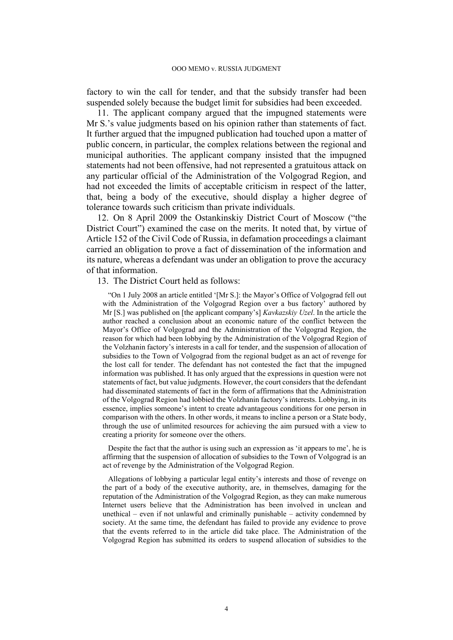factory to win the call for tender, and that the subsidy transfer had been suspended solely because the budget limit for subsidies had been exceeded.

11. The applicant company argued that the impugned statements were Mr S<sup>'</sup> s value judgments based on his opinion rather than statements of fact. It further argued that the impugned publication had touched upon a matter of public concern, in particular, the complex relations between the regional and municipal authorities. The applicant company insisted that the impugned statements had not been offensive, had not represented a gratuitous attack on any particular official of the Administration of the Volgograd Region, and had not exceeded the limits of acceptable criticism in respect of the latter, that, being a body of the executive, should display a higher degree of tolerance towards such criticism than private individuals.

12. On 8 April 2009 the Ostankinskiy District Court of Moscow ("the District Court") examined the case on the merits. It noted that, by virtue of Article 152 of the Civil Code of Russia, in defamation proceedings a claimant carried an obligation to prove a fact of dissemination of the information and its nature, whereas a defendant was under an obligation to prove the accuracy of that information.

13. The District Court held as follows:

"On 1 July 2008 an article entitled '[Mr S.]: the Mayor's Office of Volgograd fell out with the Administration of the Volgograd Region over a bus factory' authored by Mr [S.] was published on [the applicant company's] *Kavkazskiy Uzel*. In the article the author reached a conclusion about an economic nature of the conflict between the Mayor's Office of Volgograd and the Administration of the Volgograd Region, the reason for which had been lobbying by the Administration of the Volgograd Region of the Volzhanin factory's interests in a call for tender, and the suspension of allocation of subsidies to the Town of Volgograd from the regional budget as an act of revenge for the lost call for tender. The defendant has not contested the fact that the impugned information was published. It has only argued that the expressions in question were not statements of fact, but value judgments. However, the court considers that the defendant had disseminated statements of fact in the form of affirmations that the Administration of the Volgograd Region had lobbied the Volzhanin factory's interests. Lobbying, in its essence, implies someone's intent to create advantageous conditions for one person in comparison with the others. In other words, it means to incline a person or a State body, through the use of unlimited resources for achieving the aim pursued with a view to creating a priority for someone over the others.

Despite the fact that the author is using such an expression as 'it appears to me', he is affirming that the suspension of allocation of subsidies to the Town of Volgograd is an act of revenge by the Administration of the Volgograd Region.

Allegations of lobbying a particular legal entity's interests and those of revenge on the part of a body of the executive authority, are, in themselves, damaging for the reputation of the Administration of the Volgograd Region, as they can make numerous Internet users believe that the Administration has been involved in unclean and unethical – even if not unlawful and criminally punishable – activity condemned by society. At the same time, the defendant has failed to provide any evidence to prove that the events referred to in the article did take place. The Administration of the Volgograd Region has submitted its orders to suspend allocation of subsidies to the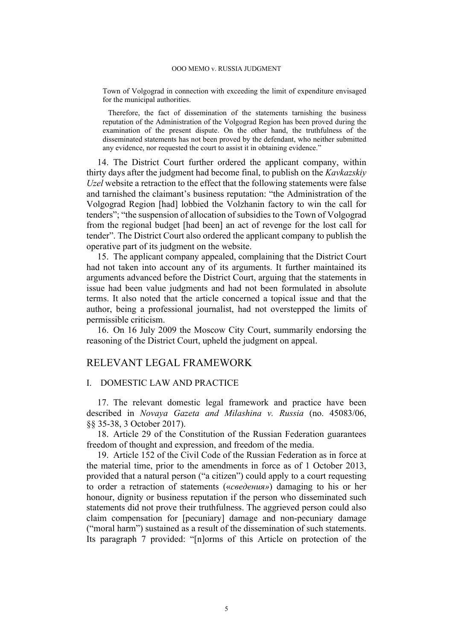Town of Volgograd in connection with exceeding the limit of expenditure envisaged for the municipal authorities.

Therefore, the fact of dissemination of the statements tarnishing the business reputation of the Administration of the Volgograd Region has been proved during the examination of the present dispute. On the other hand, the truthfulness of the disseminated statements has not been proved by the defendant, who neither submitted any evidence, nor requested the court to assist it in obtaining evidence."

14. The District Court further ordered the applicant company, within thirty days after the judgment had become final, to publish on the *Kavkazskiy Uzel* website a retraction to the effect that the following statements were false and tarnished the claimant's business reputation: "the Administration of the Volgograd Region [had] lobbied the Volzhanin factory to win the call for tenders"; "the suspension of allocation of subsidies to the Town of Volgograd from the regional budget [had been] an act of revenge for the lost call for tender". The District Court also ordered the applicant company to publish the operative part of its judgment on the website.

15. The applicant company appealed, complaining that the District Court had not taken into account any of its arguments. It further maintained its arguments advanced before the District Court, arguing that the statements in issue had been value judgments and had not been formulated in absolute terms. It also noted that the article concerned a topical issue and that the author, being a professional journalist, had not overstepped the limits of permissible criticism.

16. On 16 July 2009 the Moscow City Court, summarily endorsing the reasoning of the District Court, upheld the judgment on appeal.

### RELEVANT LEGAL FRAMEWORK

### I. DOMESTIC LAW AND PRACTICE

17. The relevant domestic legal framework and practice have been described in *Novaya Gazeta and Milashina v. Russia* (no. 45083/06, §§ 35-38, 3 October 2017).

18. Article 29 of the Constitution of the Russian Federation guarantees freedom of thought and expression, and freedom of the media.

<span id="page-6-0"></span>19. Article 152 of the Civil Code of the Russian Federation as in force at the material time, prior to the amendments in force as of 1 October 2013, provided that a natural person ("a citizen") could apply to a court requesting to order a retraction of statements («*сведения»*) damaging to his or her honour, dignity or business reputation if the person who disseminated such statements did not prove their truthfulness. The aggrieved person could also claim compensation for [pecuniary] damage and non-pecuniary damage ("moral harm") sustained as a result of the dissemination of such statements. Its paragraph 7 provided: "[n]orms of this Article on protection of the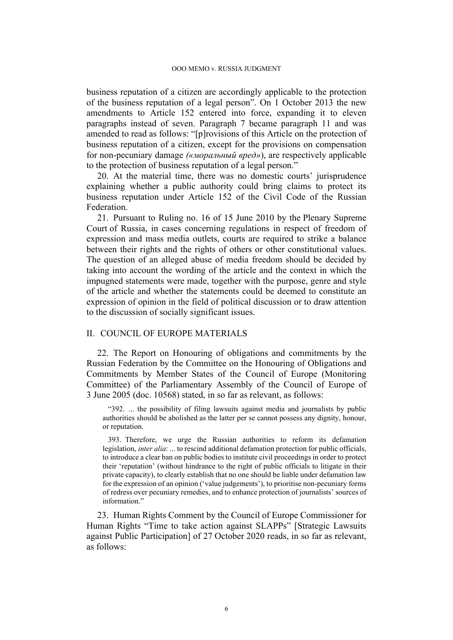business reputation of a citizen are accordingly applicable to the protection of the business reputation of a legal person". On 1 October 2013 the new amendments to Article 152 entered into force, expanding it to eleven paragraphs instead of seven. Paragraph 7 became paragraph 11 and was amended to read as follows: "[p]rovisions of this Article on the protection of business reputation of a citizen, except for the provisions on compensation for non-pecuniary damage *(«моральный вред»*), are respectively applicable to the protection of business reputation of a legal person."

20. At the material time, there was no domestic courts' jurisprudence explaining whether a public authority could bring claims to protect its business reputation under Article 152 of the Civil Code of the Russian Federation.

21. Pursuant to Ruling no. 16 of 15 June 2010 by the Plenary Supreme Court of Russia, in cases concerning regulations in respect of freedom of expression and mass media outlets, courts are required to strike a balance between their rights and the rights of others or other constitutional values. The question of an alleged abuse of media freedom should be decided by taking into account the wording of the article and the context in which the impugned statements were made, together with the purpose, genre and style of the article and whether the statements could be deemed to constitute an expression of opinion in the field of political discussion or to draw attention to the discussion of socially significant issues.

#### II. COUNCIL OF EUROPE MATERIALS

<span id="page-7-0"></span>22. The Report on Honouring of obligations and commitments by the Russian Federation by the Committee on the Honouring of Obligations and Commitments by Member States of the Council of Europe (Monitoring Committee) of the Parliamentary Assembly of the Council of Europe of 3 June 2005 (doc. 10568) stated, in so far as relevant, as follows:

"392. ... the possibility of filing lawsuits against media and journalists by public authorities should be abolished as the latter per se cannot possess any dignity, honour, or reputation.

393. Therefore, we urge the Russian authorities to reform its defamation legislation, *inter alia*: ... to rescind additional defamation protection for public officials, to introduce a clear ban on public bodies to institute civil proceedings in order to protect their 'reputation' (without hindrance to the right of public officials to litigate in their private capacity), to clearly establish that no one should be liable under defamation law for the expression of an opinion ('value judgements'), to prioritise non-pecuniary forms of redress over pecuniary remedies, and to enhance protection of journalists' sources of information."

<span id="page-7-1"></span>23. Human Rights Comment by the Council of Europe Commissioner for Human Rights "Time to take action against SLAPPs" [Strategic Lawsuits against Public Participation] of 27 October 2020 reads, in so far as relevant, as follows: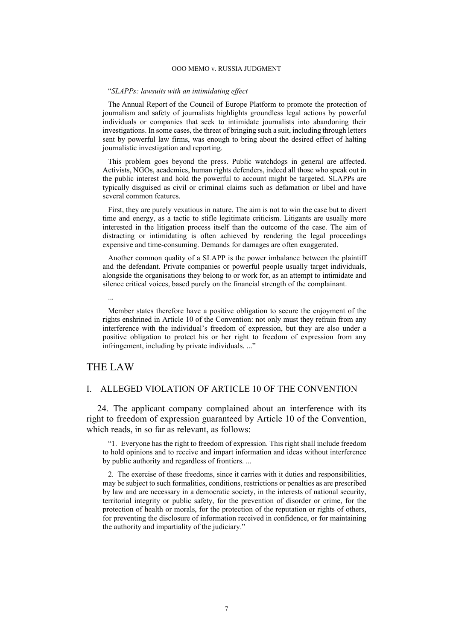#### "*SLAPPs: lawsuits with an intimidating effect*

The Annual Report of the Council of Europe Platform to promote the protection of journalism and safety of journalists highlights groundless legal actions by powerful individuals or companies that seek to intimidate journalists into abandoning their investigations. In some cases, the threat of bringing such a suit, including through letters sent by powerful law firms, was enough to bring about the desired effect of halting journalistic investigation and reporting.

This problem goes beyond the press. Public watchdogs in general are affected. Activists, NGOs, academics, human rights defenders, indeed all those who speak out in the public interest and hold the powerful to account might be targeted. SLAPPs are typically disguised as civil or criminal claims such as defamation or libel and have several common features.

First, they are purely vexatious in nature. The aim is not to win the case but to divert time and energy, as a tactic to stifle legitimate criticism. Litigants are usually more interested in the litigation process itself than the outcome of the case. The aim of distracting or intimidating is often achieved by rendering the legal proceedings expensive and time-consuming. Demands for damages are often exaggerated.

Another common quality of a SLAPP is the power imbalance between the plaintiff and the defendant. Private companies or powerful people usually target individuals, alongside the organisations they belong to or work for, as an attempt to intimidate and silence critical voices, based purely on the financial strength of the complainant.

Member states therefore have a positive obligation to secure the enjoyment of the rights enshrined in Article 10 of the Convention: not only must they refrain from any interference with the individual's freedom of expression, but they are also under a positive obligation to protect his or her right to freedom of expression from any infringement, including by private individuals. ..."

## THE LAW

...

### I. ALLEGED VIOLATION OF ARTICLE 10 OF THE CONVENTION

24. The applicant company complained about an interference with its right to freedom of expression guaranteed by Article 10 of the Convention, which reads, in so far as relevant, as follows:

"1. Everyone has the right to freedom of expression. This right shall include freedom to hold opinions and to receive and impart information and ideas without interference by public authority and regardless of frontiers. ...

2. The exercise of these freedoms, since it carries with it duties and responsibilities, may be subject to such formalities, conditions, restrictions or penalties as are prescribed by law and are necessary in a democratic society, in the interests of national security, territorial integrity or public safety, for the prevention of disorder or crime, for the protection of health or morals, for the protection of the reputation or rights of others, for preventing the disclosure of information received in confidence, or for maintaining the authority and impartiality of the judiciary."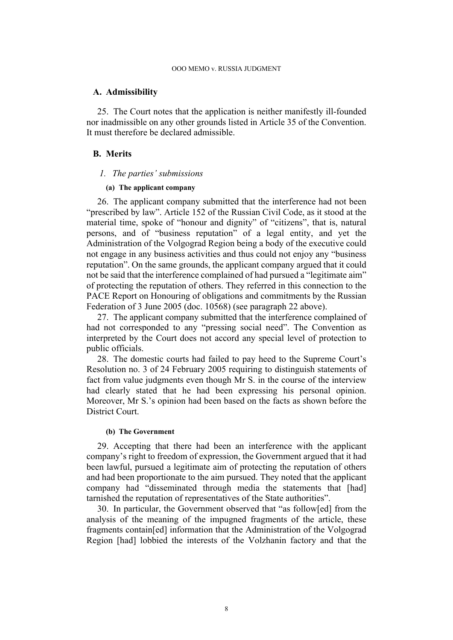#### **A. Admissibility**

25. The Court notes that the application is neither manifestly ill-founded nor inadmissible on any other grounds listed in Article 35 of the Convention. It must therefore be declared admissible.

### **B. Merits**

#### *1. The parties' submissions*

#### **(a) The applicant company**

<span id="page-9-0"></span>26. The applicant company submitted that the interference had not been "prescribed by law". Article 152 of the Russian Civil Code, as it stood at the material time, spoke of "honour and dignity" of "citizens", that is, natural persons, and of "business reputation" of a legal entity, and yet the Administration of the Volgograd Region being a body of the executive could not engage in any business activities and thus could not enjoy any "business reputation". On the same grounds, the applicant company argued that it could not be said that the interference complained of had pursued a "legitimate aim" of protecting the reputation of others. They referred in this connection to the PACE Report on Honouring of obligations and commitments by the Russian Federation of 3 June 2005 (doc. 10568) (see paragraph [22](#page-7-0) above).

27. The applicant company submitted that the interference complained of had not corresponded to any "pressing social need". The Convention as interpreted by the Court does not accord any special level of protection to public officials.

28. The domestic courts had failed to pay heed to the Supreme Court's Resolution no. 3 of 24 February 2005 requiring to distinguish statements of fact from value judgments even though Mr S. in the course of the interview had clearly stated that he had been expressing his personal opinion. Moreover, Mr S.'s opinion had been based on the facts as shown before the District Court.

#### **(b) The Government**

<span id="page-9-1"></span>29. Accepting that there had been an interference with the applicant company's right to freedom of expression, the Government argued that it had been lawful, pursued a legitimate aim of protecting the reputation of others and had been proportionate to the aim pursued. They noted that the applicant company had "disseminated through media the statements that [had] tarnished the reputation of representatives of the State authorities".

30. In particular, the Government observed that "as follow[ed] from the analysis of the meaning of the impugned fragments of the article, these fragments contain[ed] information that the Administration of the Volgograd Region [had] lobbied the interests of the Volzhanin factory and that the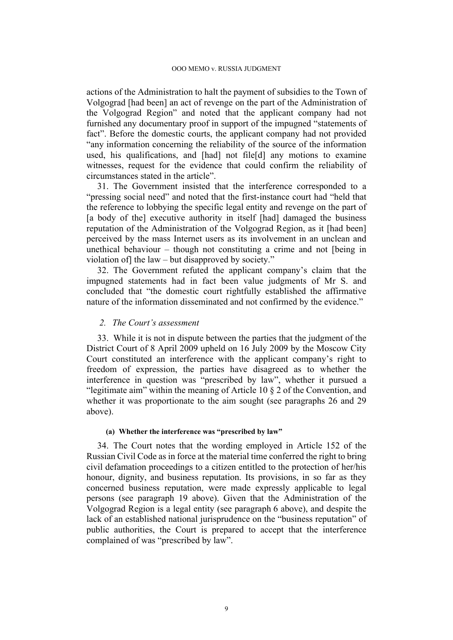actions of the Administration to halt the payment of subsidies to the Town of Volgograd [had been] an act of revenge on the part of the Administration of the Volgograd Region" and noted that the applicant company had not furnished any documentary proof in support of the impugned "statements of fact". Before the domestic courts, the applicant company had not provided "any information concerning the reliability of the source of the information used, his qualifications, and [had] not file[d] any motions to examine witnesses, request for the evidence that could confirm the reliability of circumstances stated in the article".

31. The Government insisted that the interference corresponded to a "pressing social need" and noted that the first-instance court had "held that the reference to lobbying the specific legal entity and revenge on the part of [a body of the] executive authority in itself [had] damaged the business reputation of the Administration of the Volgograd Region, as it [had been] perceived by the mass Internet users as its involvement in an unclean and unethical behaviour – though not constituting a crime and not [being in violation of] the law – but disapproved by society."

32. The Government refuted the applicant company's claim that the impugned statements had in fact been value judgments of Mr S. and concluded that "the domestic court rightfully established the affirmative nature of the information disseminated and not confirmed by the evidence."

#### *2. The Court's assessment*

33. While it is not in dispute between the parties that the judgment of the District Court of 8 April 2009 upheld on 16 July 2009 by the Moscow City Court constituted an interference with the applicant company's right to freedom of expression, the parties have disagreed as to whether the interference in question was "prescribed by law", whether it pursued a "legitimate aim" within the meaning of Article 10  $\S$  2 of the Convention, and whether it was proportionate to the aim sought (see paragraphs [26](#page-9-0) and [29](#page-9-1)  above).

#### **(a) Whether the interference was "prescribed by law"**

34. The Court notes that the wording employed in Article 152 of the Russian Civil Code as in force at the material time conferred the right to bring civil defamation proceedings to a citizen entitled to the protection of her/his honour, dignity, and business reputation. Its provisions, in so far as they concerned business reputation, were made expressly applicable to legal persons (see paragraph [19](#page-6-0) above). Given that the Administration of the Volgograd Region is a legal entity (see paragraph [6](#page-3-0) above), and despite the lack of an established national jurisprudence on the "business reputation" of public authorities, the Court is prepared to accept that the interference complained of was "prescribed by law".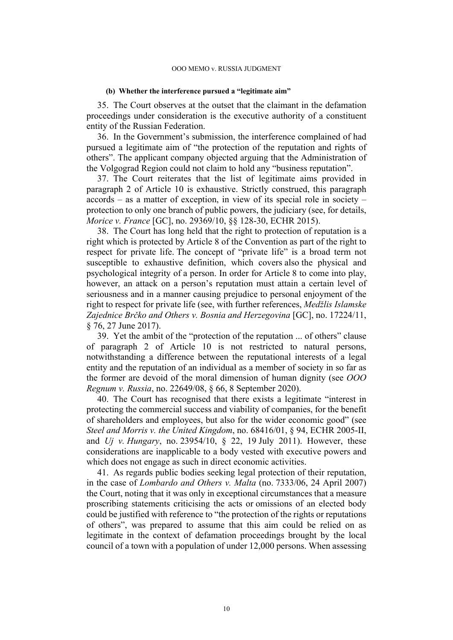#### **(b) Whether the interference pursued a "legitimate aim"**

35. The Court observes at the outset that the claimant in the defamation proceedings under consideration is the executive authority of a constituent entity of the Russian Federation.

36. In the Government's submission, the interference complained of had pursued a legitimate aim of "the protection of the reputation and rights of others". The applicant company objected arguing that the Administration of the Volgograd Region could not claim to hold any "business reputation".

37. The Court reiterates that the list of legitimate aims provided in paragraph 2 of Article 10 is exhaustive. Strictly construed, this paragraph accords – as a matter of exception, in view of its special role in society – protection to only one branch of public powers, the judiciary (see, for details, *Morice v. France* [GC], no. 29369/10, §§ 128-30, ECHR 2015).

38. The Court has long held that the right to protection of reputation is a right which is protected by Article 8 of the Convention as part of the right to respect for private life. The concept of "private life" is a broad term not susceptible to exhaustive definition, which covers also the physical and psychological integrity of a person. In order for Article 8 to come into play, however, an attack on a person's reputation must attain a certain level of seriousness and in a manner causing prejudice to personal enjoyment of the right to respect for private life (see, with further references, *Medžlis Islamske Zajednice Brčko and Others v. Bosnia and Herzegovina* [GC], no. 17224/11, § 76, 27 June 2017).

<span id="page-11-0"></span>39. Yet the ambit of the "protection of the reputation ... of others" clause of paragraph 2 of Article 10 is not restricted to natural persons, notwithstanding a difference between the reputational interests of a legal entity and the reputation of an individual as a member of society in so far as the former are devoid of the moral dimension of human dignity (see *OOO Regnum v. Russia*, no. 22649/08, § 66, 8 September 2020).

40. The Court has recognised that there exists a legitimate "interest in protecting the commercial success and viability of companies, for the benefit of shareholders and employees, but also for the wider economic good" (see *Steel and Morris v. the United Kingdom*, no. 68416/01, § 94, ECHR 2005-II, and *Uj v. Hungary*, no. 23954/10, § 22, 19 July 2011). However, these considerations are inapplicable to a body vested with executive powers and which does not engage as such in direct economic activities.

41. As regards public bodies seeking legal protection of their reputation, in the case of *Lombardo and Others v. Malta* (no. 7333/06, 24 April 2007) the Court, noting that it was only in exceptional circumstances that a measure proscribing statements criticising the acts or omissions of an elected body could be justified with reference to "the protection of the rights or reputations of others", was prepared to assume that this aim could be relied on as legitimate in the context of defamation proceedings brought by the local council of a town with a population of under 12,000 persons. When assessing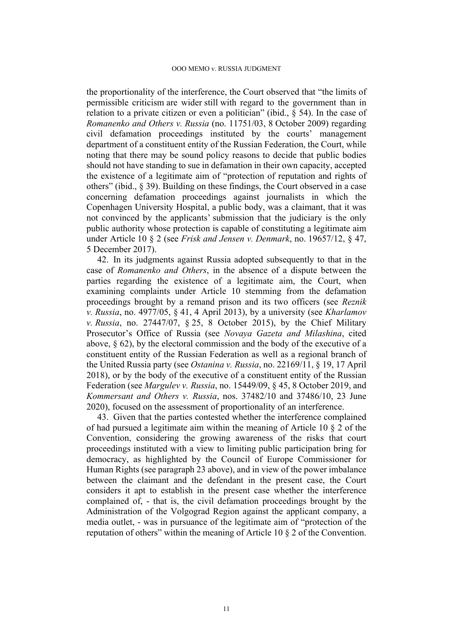the proportionality of the interference, the Court observed that "the limits of permissible criticism are wider still with regard to the government than in relation to a private citizen or even a politician" (ibid., § 54). In the case of *Romanenko and Others v. Russia* (no. 11751/03, 8 October 2009) regarding civil defamation proceedings instituted by the courts' management department of a constituent entity of the Russian Federation, the Court, while noting that there may be sound policy reasons to decide that public bodies should not have standing to sue in defamation in their own capacity, accepted the existence of a legitimate aim of "protection of reputation and rights of others" (ibid., § 39). Building on these findings, the Court observed in a case concerning defamation proceedings against journalists in which the Copenhagen University Hospital, a public body, was a claimant, that it was not convinced by the applicants' submission that the judiciary is the only public authority whose protection is capable of constituting a legitimate aim under Article 10 § 2 (see *Frisk and Jensen v. Denmark*, no. 19657/12, § 47, 5 December 2017).

42. In its judgments against Russia adopted subsequently to that in the case of *Romanenko and Others*, in the absence of a dispute between the parties regarding the existence of a legitimate aim, the Court, when examining complaints under Article 10 stemming from the defamation proceedings brought by a remand prison and its two officers (see *Reznik v. Russia*, no. 4977/05, § 41, 4 April 2013), by a university (see *Kharlamov v. Russia*, no. 27447/07, § 25, 8 October 2015), by the Chief Military Prosecutor's Office of Russia (see *Novaya Gazeta and Milashina*, cited above, § 62), by the electoral commission and the body of the executive of a constituent entity of the Russian Federation as well as a regional branch of the United Russia party (see *Ostanina v. Russia*, no. 22169/11, § 19, 17 April 2018), or by the body of the executive of a constituent entity of the Russian Federation (see *Margulev v. Russia*, no. 15449/09, § 45, 8 October 2019, and *Kommersant and Others v. Russia*, nos. 37482/10 and 37486/10, 23 June 2020), focused on the assessment of proportionality of an interference.

43. Given that the parties contested whether the interference complained of had pursued a legitimate aim within the meaning of Article 10 § 2 of the Convention, considering the growing awareness of the risks that court proceedings instituted with a view to limiting public participation bring for democracy, as highlighted by the Council of Europe Commissioner for Human Rights (see paragraph [23](#page-7-1) above), and in view of the power imbalance between the claimant and the defendant in the present case, the Court considers it apt to establish in the present case whether the interference complained of, - that is, the civil defamation proceedings brought by the Administration of the Volgograd Region against the applicant company, a media outlet, - was in pursuance of the legitimate aim of "protection of the reputation of others" within the meaning of Article 10 § 2 of the Convention.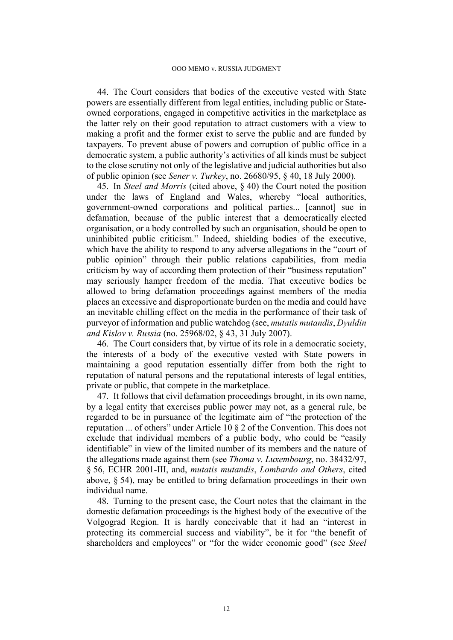44. The Court considers that bodies of the executive vested with State powers are essentially different from legal entities, including public or Stateowned corporations, engaged in competitive activities in the marketplace as the latter rely on their good reputation to attract customers with a view to making a profit and the former exist to serve the public and are funded by taxpayers. To prevent abuse of powers and corruption of public office in a democratic system, a public authority's activities of all kinds must be subject to the close scrutiny not only of the legislative and judicial authorities but also of public opinion (see *Sener v. Turkey*, no. 26680/95, § 40, 18 July 2000).

45. In *Steel and Morris* (cited above, § 40) the Court noted the position under the laws of England and Wales, whereby "local authorities, government-owned corporations and political parties... [cannot] sue in defamation, because of the public interest that a democratically elected organisation, or a body controlled by such an organisation, should be open to uninhibited public criticism." Indeed, shielding bodies of the executive, which have the ability to respond to any adverse allegations in the "court of public opinion" through their public relations capabilities, from media criticism by way of according them protection of their "business reputation" may seriously hamper freedom of the media. That executive bodies be allowed to bring defamation proceedings against members of the media places an excessive and disproportionate burden on the media and could have an inevitable chilling effect on the media in the performance of their task of purveyor of information and public watchdog (see, *mutatis mutandis*, *Dyuldin and Kislov v. Russia* (no. 25968/02, § 43, 31 July 2007).

46. The Court considers that, by virtue of its role in a democratic society, the interests of a body of the executive vested with State powers in maintaining a good reputation essentially differ from both the right to reputation of natural persons and the reputational interests of legal entities, private or public, that compete in the marketplace.

47. It follows that civil defamation proceedings brought, in its own name, by a legal entity that exercises public power may not, as a general rule, be regarded to be in pursuance of the legitimate aim of "the protection of the reputation ... of others" under Article 10 § 2 of the Convention. This does not exclude that individual members of a public body, who could be "easily identifiable" in view of the limited number of its members and the nature of the allegations made against them (see *Thoma v. Luxembourg*, no. 38432/97, § 56, ECHR 2001-III, and, *mutatis mutandis*, *Lombardo and Others*, cited above, § 54), may be entitled to bring defamation proceedings in their own individual name.

48. Turning to the present case, the Court notes that the claimant in the domestic defamation proceedings is the highest body of the executive of the Volgograd Region. It is hardly conceivable that it had an "interest in protecting its commercial success and viability", be it for "the benefit of shareholders and employees" or "for the wider economic good" (see *Steel*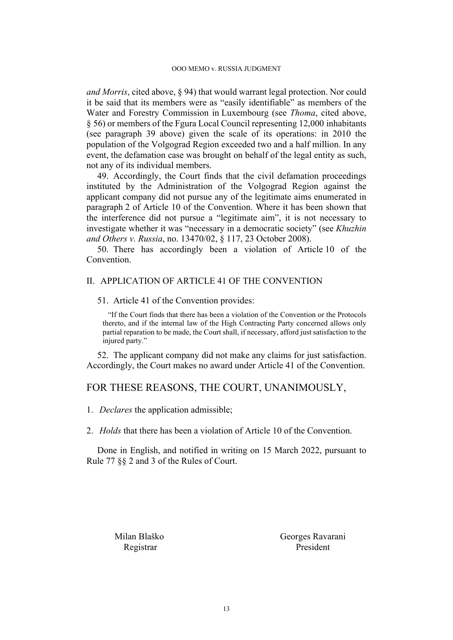*and Morris*, cited above, § 94) that would warrant legal protection. Nor could it be said that its members were as "easily identifiable" as members of the Water and Forestry Commission in Luxembourg (see *Thoma*, cited above, § 56) or members of the Fgura Local Council representing 12,000 inhabitants (see paragraph [39](#page-11-0) above) given the scale of its operations: in 2010 the population of the Volgograd Region exceeded two and a half million. In any event, the defamation case was brought on behalf of the legal entity as such, not any of its individual members.

49. Accordingly, the Court finds that the civil defamation proceedings instituted by the Administration of the Volgograd Region against the applicant company did not pursue any of the legitimate aims enumerated in paragraph 2 of Article 10 of the Convention. Where it has been shown that the interference did not pursue a "legitimate aim", it is not necessary to investigate whether it was "necessary in a democratic society" (see *Khuzhin and Others v. Russia*, no. 13470/02, § 117, 23 October 2008).

50. There has accordingly been a violation of Article 10 of the Convention.

### II. APPLICATION OF ARTICLE 41 OF THE CONVENTION

#### 51. Article 41 of the Convention provides:

"If the Court finds that there has been a violation of the Convention or the Protocols thereto, and if the internal law of the High Contracting Party concerned allows only partial reparation to be made, the Court shall, if necessary, afford just satisfaction to the injured party."

52. The applicant company did not make any claims for just satisfaction. Accordingly, the Court makes no award under Article 41 of the Convention.

## FOR THESE REASONS, THE COURT, UNANIMOUSLY,

1. *Declares* the application admissible;

2. *Holds* that there has been a violation of Article 10 of the Convention.

Done in English, and notified in writing on 15 March 2022, pursuant to Rule 77 §§ 2 and 3 of the Rules of Court.

Milan Blaško Georges Ravarani Registrar President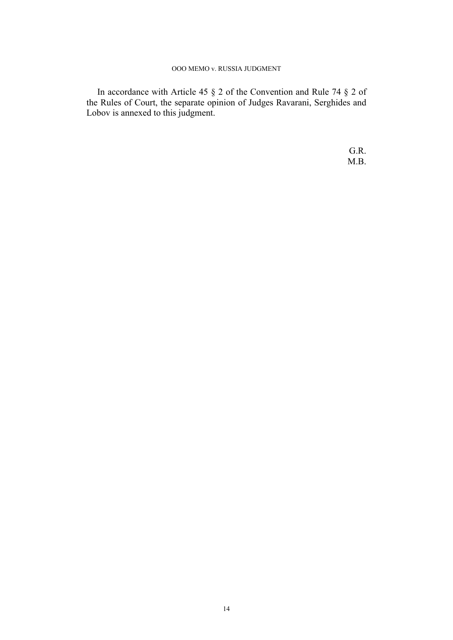In accordance with Article 45 § 2 of the Convention and Rule 74 § 2 of the Rules of Court, the separate opinion of Judges Ravarani, Serghides and Lobov is annexed to this judgment.

> G.R. M.B.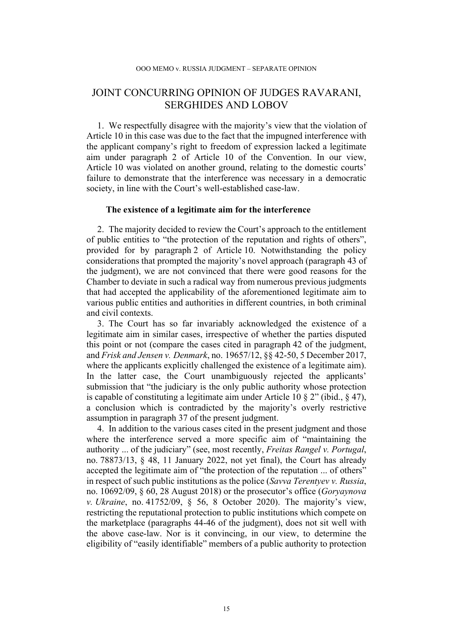# JOINT CONCURRING OPINION OF JUDGES RAVARANI, SERGHIDES AND LOBOV

1. We respectfully disagree with the majority's view that the violation of Article 10 in this case was due to the fact that the impugned interference with the applicant company's right to freedom of expression lacked a legitimate aim under paragraph 2 of Article 10 of the Convention. In our view, Article 10 was violated on another ground, relating to the domestic courts' failure to demonstrate that the interference was necessary in a democratic society, in line with the Court's well-established case-law.

#### **The existence of a legitimate aim for the interference**

2. The majority decided to review the Court's approach to the entitlement of public entities to "the protection of the reputation and rights of others", provided for by paragraph 2 of Article 10. Notwithstanding the policy considerations that prompted the majority's novel approach (paragraph 43 of the judgment), we are not convinced that there were good reasons for the Chamber to deviate in such a radical way from numerous previous judgments that had accepted the applicability of the aforementioned legitimate aim to various public entities and authorities in different countries, in both criminal and civil contexts.

3. The Court has so far invariably acknowledged the existence of a legitimate aim in similar cases, irrespective of whether the parties disputed this point or not (compare the cases cited in paragraph 42 of the judgment, and *Frisk and Jensen v. Denmark*, no. 19657/12, §§ 42-50, 5 December 2017, where the applicants explicitly challenged the existence of a legitimate aim). In the latter case, the Court unambiguously rejected the applicants' submission that "the judiciary is the only public authority whose protection is capable of constituting a legitimate aim under Article 10  $\S 2$ " (ibid.,  $\S 47$ ), a conclusion which is contradicted by the majority's overly restrictive assumption in paragraph 37 of the present judgment.

4. In addition to the various cases cited in the present judgment and those where the interference served a more specific aim of "maintaining the authority ... of the judiciary" (see, most recently, *Freitas Rangel v. Portugal*, no. 78873/13, § 48, 11 January 2022, not yet final), the Court has already accepted the legitimate aim of "the protection of the reputation ... of others" in respect of such public institutions as the police (*Savva Terentyev v. Russia*, no. 10692/09, § 60, 28 August 2018) or the prosecutor's office (*Goryaynova v. Ukraine*, no. 41752/09, § 56, 8 October 2020). The majority's view, restricting the reputational protection to public institutions which compete on the marketplace (paragraphs 44-46 of the judgment), does not sit well with the above case-law. Nor is it convincing, in our view, to determine the eligibility of "easily identifiable" members of a public authority to protection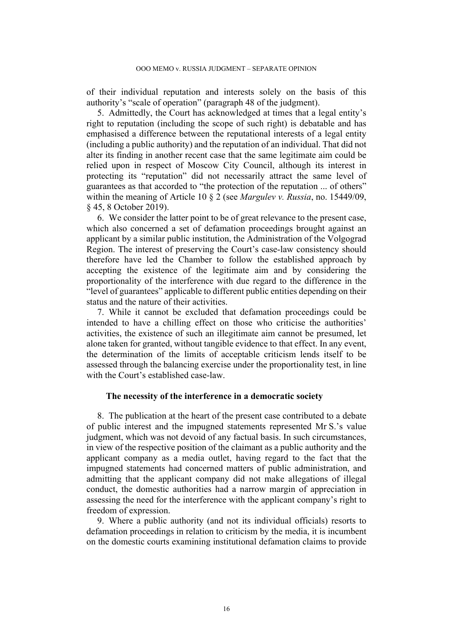of their individual reputation and interests solely on the basis of this authority's "scale of operation" (paragraph 48 of the judgment).

5. Admittedly, the Court has acknowledged at times that a legal entity's right to reputation (including the scope of such right) is debatable and has emphasised a difference between the reputational interests of a legal entity (including a public authority) and the reputation of an individual. That did not alter its finding in another recent case that the same legitimate aim could be relied upon in respect of Moscow City Council, although its interest in protecting its "reputation" did not necessarily attract the same level of guarantees as that accorded to "the protection of the reputation ... of others" within the meaning of Article 10 § 2 (see *Margulev v. Russia*, no. 15449/09, § 45, 8 October 2019).

6. We consider the latter point to be of great relevance to the present case, which also concerned a set of defamation proceedings brought against an applicant by a similar public institution, the Administration of the Volgograd Region. The interest of preserving the Court's case-law consistency should therefore have led the Chamber to follow the established approach by accepting the existence of the legitimate aim and by considering the proportionality of the interference with due regard to the difference in the "level of guarantees" applicable to different public entities depending on their status and the nature of their activities.

7. While it cannot be excluded that defamation proceedings could be intended to have a chilling effect on those who criticise the authorities' activities, the existence of such an illegitimate aim cannot be presumed, let alone taken for granted, without tangible evidence to that effect. In any event, the determination of the limits of acceptable criticism lends itself to be assessed through the balancing exercise under the proportionality test, in line with the Court's established case-law.

#### **The necessity of the interference in a democratic society**

8. The publication at the heart of the present case contributed to a debate of public interest and the impugned statements represented Mr S.'s value judgment, which was not devoid of any factual basis. In such circumstances, in view of the respective position of the claimant as a public authority and the applicant company as a media outlet, having regard to the fact that the impugned statements had concerned matters of public administration, and admitting that the applicant company did not make allegations of illegal conduct, the domestic authorities had a narrow margin of appreciation in assessing the need for the interference with the applicant company's right to freedom of expression.

9. Where a public authority (and not its individual officials) resorts to defamation proceedings in relation to criticism by the media, it is incumbent on the domestic courts examining institutional defamation claims to provide